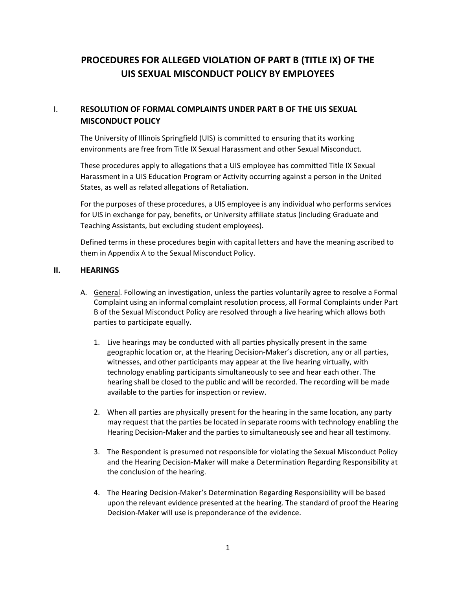# **PROCEDURES FOR ALLEGED VIOLATION OF PART B (TITLE IX) OF THE UIS SEXUAL MISCONDUCT POLICY BY EMPLOYEES**

# I. **RESOLUTION OF FORMAL COMPLAINTS UNDER PART B OF THE UIS SEXUAL MISCONDUCT POLICY**

The University of Illinois Springfield (UIS) is committed to ensuring that its working environments are free from Title IX Sexual Harassment and other Sexual Misconduct.

These procedures apply to allegations that a UIS employee has committed Title IX Sexual Harassment in a UIS Education Program or Activity occurring against a person in the United States, as well as related allegations of Retaliation.

For the purposes of these procedures, a UIS employee is any individual who performs services for UIS in exchange for pay, benefits, or University affiliate status (including Graduate and Teaching Assistants, but excluding student employees).

Defined terms in these procedures begin with capital letters and have the meaning ascribed to them in Appendix A to the Sexual Misconduct Policy.

### **II. HEARINGS**

- A. General. Following an investigation, unless the parties voluntarily agree to resolve a Formal Complaint using an informal complaint resolution process, all Formal Complaints under Part B of the Sexual Misconduct Policy are resolved through a live hearing which allows both parties to participate equally.
	- 1. Live hearings may be conducted with all parties physically present in the same geographic location or, at the Hearing Decision-Maker's discretion, any or all parties, witnesses, and other participants may appear at the live hearing virtually, with technology enabling participants simultaneously to see and hear each other. The hearing shall be closed to the public and will be recorded. The recording will be made available to the parties for inspection or review.
	- 2. When all parties are physically present for the hearing in the same location, any party may request that the parties be located in separate rooms with technology enabling the Hearing Decision-Maker and the parties to simultaneously see and hear all testimony.
	- 3. The Respondent is presumed not responsible for violating the Sexual Misconduct Policy and the Hearing Decision-Maker will make a Determination Regarding Responsibility at the conclusion of the hearing.
	- 4. The Hearing Decision-Maker's Determination Regarding Responsibility will be based upon the relevant evidence presented at the hearing. The standard of proof the Hearing Decision-Maker will use is preponderance of the evidence.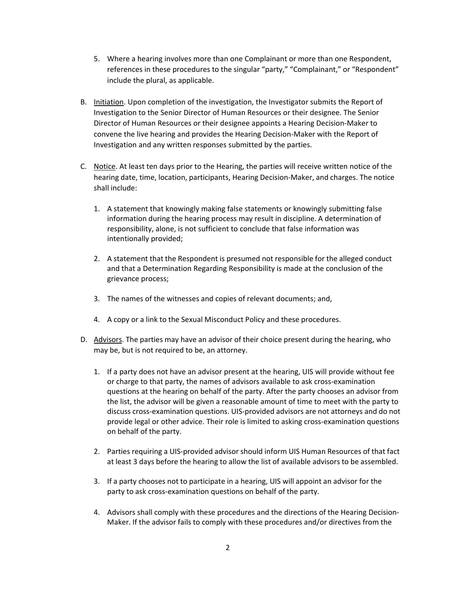- 5. Where a hearing involves more than one Complainant or more than one Respondent, references in these procedures to the singular "party," "Complainant," or "Respondent" include the plural, as applicable.
- B. Initiation. Upon completion of the investigation, the Investigator submits the Report of Investigation to the Senior Director of Human Resources or their designee. The Senior Director of Human Resources or their designee appoints a Hearing Decision-Maker to convene the live hearing and provides the Hearing Decision-Maker with the Report of Investigation and any written responses submitted by the parties.
- C. Notice. At least ten days prior to the Hearing, the parties will receive written notice of the hearing date, time, location, participants, Hearing Decision-Maker, and charges. The notice shall include:
	- 1. A statement that knowingly making false statements or knowingly submitting false information during the hearing process may result in discipline. A determination of responsibility, alone, is not sufficient to conclude that false information was intentionally provided;
	- 2. A statement that the Respondent is presumed not responsible for the alleged conduct and that a Determination Regarding Responsibility is made at the conclusion of the grievance process;
	- 3. The names of the witnesses and copies of relevant documents; and,
	- 4. A copy or a link to the Sexual Misconduct Policy and these procedures.
- D. Advisors. The parties may have an advisor of their choice present during the hearing, who may be, but is not required to be, an attorney.
	- 1. If a party does not have an advisor present at the hearing, UIS will provide without fee or charge to that party, the names of advisors available to ask cross-examination questions at the hearing on behalf of the party. After the party chooses an advisor from the list, the advisor will be given a reasonable amount of time to meet with the party to discuss cross-examination questions. UIS-provided advisors are not attorneys and do not provide legal or other advice. Their role is limited to asking cross-examination questions on behalf of the party.
	- 2. Parties requiring a UIS-provided advisor should inform UIS Human Resources of that fact at least 3 days before the hearing to allow the list of available advisors to be assembled.
	- 3. If a party chooses not to participate in a hearing, UIS will appoint an advisor for the party to ask cross-examination questions on behalf of the party.
	- 4. Advisors shall comply with these procedures and the directions of the Hearing Decision-Maker. If the advisor fails to comply with these procedures and/or directives from the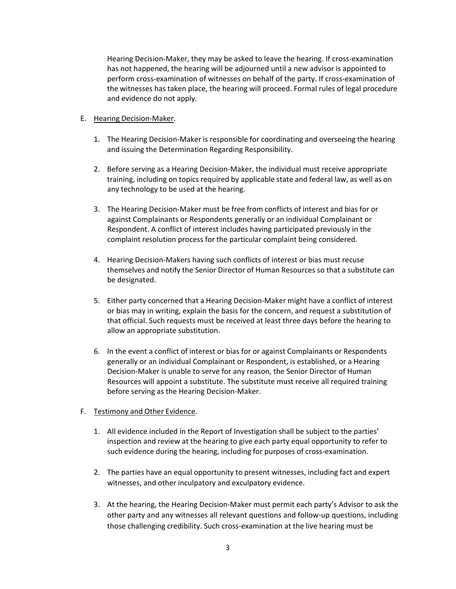Hearing Decision-Maker, they may be asked to leave the hearing. If cross-examination has not happened, the hearing will be adjourned until a new advisor is appointed to perform cross-examination of witnesses on behalf of the party. If cross-examination of the witnesses has taken place, the hearing will proceed. Formal rules of legal procedure and evidence do not apply.

- E. Hearing Decision-Maker.
	- 1. The Hearing Decision-Maker is responsible for coordinating and overseeing the hearing and issuing the Determination Regarding Responsibility.
	- 2. Before serving as a Hearing Decision-Maker, the individual must receive appropriate training, including on topics required by applicable state and federal law, as well as on any technology to be used at the hearing.
	- 3. The Hearing Decision-Maker must be free from conflicts of interest and bias for or against Complainants or Respondents generally or an individual Complainant or Respondent. A conflict of interest includes having participated previously in the complaint resolution process for the particular complaint being considered.
	- 4. Hearing Decision-Makers having such conflicts of interest or bias must recuse themselves and notify the Senior Director of Human Resources so that a substitute can be designated.
	- 5. Either party concerned that a Hearing Decision-Maker might have a conflict of interest or bias may in writing, explain the basis for the concern, and request a substitution of that official. Such requests must be received at least three days before the hearing to allow an appropriate substitution.
	- 6. In the event a conflict of interest or bias for or against Complainants or Respondents generally or an individual Complainant or Respondent, is established, or a Hearing Decision-Maker is unable to serve for any reason, the Senior Director of Human Resources will appoint a substitute. The substitute must receive all required training before serving as the Hearing Decision-Maker.

#### F. Testimony and Other Evidence.

- 1. All evidence included in the Report of Investigation shall be subject to the parties' inspection and review at the hearing to give each party equal opportunity to refer to such evidence during the hearing, including for purposes of cross-examination.
- 2. The parties have an equal opportunity to present witnesses, including fact and expert witnesses, and other inculpatory and exculpatory evidence.
- 3. At the hearing, the Hearing Decision-Maker must permit each party's Advisor to ask the other party and any witnesses all relevant questions and follow-up questions, including those challenging credibility. Such cross-examination at the live hearing must be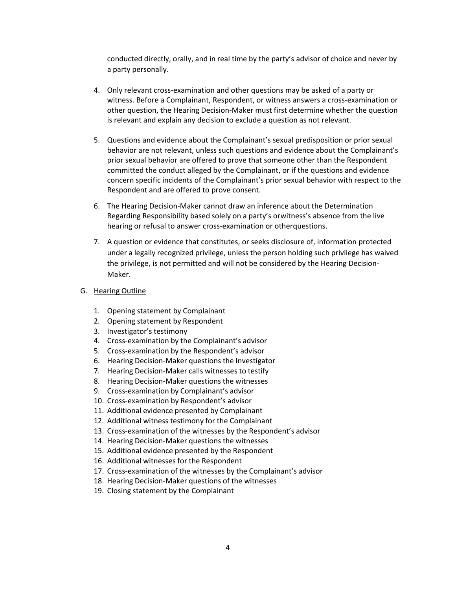conducted directly, orally, and in real time by the party's advisor of choice and never by a party personally.

- 4. Only relevant cross-examination and other questions may be asked of a party or witness. Before a Complainant, Respondent, or witness answers a cross-examination or other question, the Hearing Decision-Maker must first determine whether the question is relevant and explain any decision to exclude a question as not relevant.
- 5. Questions and evidence about the Complainant's sexual predisposition or prior sexual behavior are not relevant, unless such questions and evidence about the Complainant's prior sexual behavior are offered to prove that someone other than the Respondent committed the conduct alleged by the Complainant, or if the questions and evidence concern specific incidents of the Complainant's prior sexual behavior with respect to the Respondent and are offered to prove consent.
- 6. The Hearing Decision-Maker cannot draw an inference about the Determination Regarding Responsibility based solely on a party's orwitness's absence from the live hearing or refusal to answer cross-examination or otherquestions.
- 7. A question or evidence that constitutes, or seeks disclosure of, information protected under a legally recognized privilege, unless the person holding such privilege has waived the privilege, is not permitted and will not be considered by the Hearing Decision-Maker.
- G. Hearing Outline
	- 1. Opening statement by Complainant
	- 2. Opening statement by Respondent
	- 3. Investigator's testimony
	- 4. Cross-examination by the Complainant's advisor
	- 5. Cross-examination by the Respondent's advisor
	- 6. Hearing Decision-Maker questions the Investigator
	- 7. Hearing Decision-Maker calls witnesses to testify
	- 8. Hearing Decision-Maker questions the witnesses
	- 9. Cross-examination by Complainant's advisor
	- 10. Cross-examination by Respondent's advisor
	- 11. Additional evidence presented by Complainant
	- 12. Additional witness testimony for the Complainant
	- 13. Cross-examination of the witnesses by the Respondent's advisor
	- 14. Hearing Decision-Maker questions the witnesses
	- 15. Additional evidence presented by the Respondent
	- 16. Additional witnesses for the Respondent
	- 17. Cross-examination of the witnesses by the Complainant's advisor
	- 18. Hearing Decision-Maker questions of the witnesses
	- 19. Closing statement by the Complainant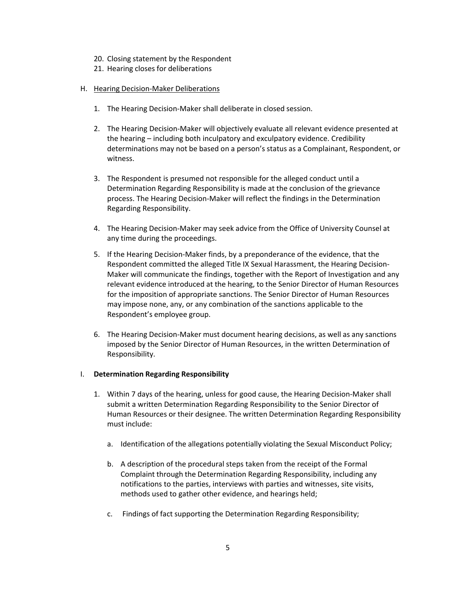- 20. Closing statement by the Respondent
- 21. Hearing closes for deliberations

#### H. Hearing Decision-Maker Deliberations

- 1. The Hearing Decision-Maker shall deliberate in closed session.
- 2. The Hearing Decision-Maker will objectively evaluate all relevant evidence presented at the hearing – including both inculpatory and exculpatory evidence. Credibility determinations may not be based on a person's status as a Complainant, Respondent, or witness.
- 3. The Respondent is presumed not responsible for the alleged conduct until a Determination Regarding Responsibility is made at the conclusion of the grievance process. The Hearing Decision-Maker will reflect the findings in the Determination Regarding Responsibility.
- 4. The Hearing Decision-Maker may seek advice from the Office of University Counsel at any time during the proceedings.
- 5. If the Hearing Decision-Maker finds, by a preponderance of the evidence, that the Respondent committed the alleged Title IX Sexual Harassment, the Hearing Decision-Maker will communicate the findings, together with the Report of Investigation and any relevant evidence introduced at the hearing, to the Senior Director of Human Resources for the imposition of appropriate sanctions. The Senior Director of Human Resources may impose none, any, or any combination of the sanctions applicable to the Respondent's employee group.
- 6. The Hearing Decision-Maker must document hearing decisions, as well as any sanctions imposed by the Senior Director of Human Resources, in the written Determination of Responsibility.

#### I. **Determination Regarding Responsibility**

- 1. Within 7 days of the hearing, unless for good cause, the Hearing Decision-Maker shall submit a written Determination Regarding Responsibility to the Senior Director of Human Resources or their designee. The written Determination Regarding Responsibility must include:
	- a. Identification of the allegations potentially violating the Sexual Misconduct Policy;
	- b. A description of the procedural steps taken from the receipt of the Formal Complaint through the Determination Regarding Responsibility, including any notifications to the parties, interviews with parties and witnesses, site visits, methods used to gather other evidence, and hearings held;
	- c. Findings of fact supporting the Determination Regarding Responsibility;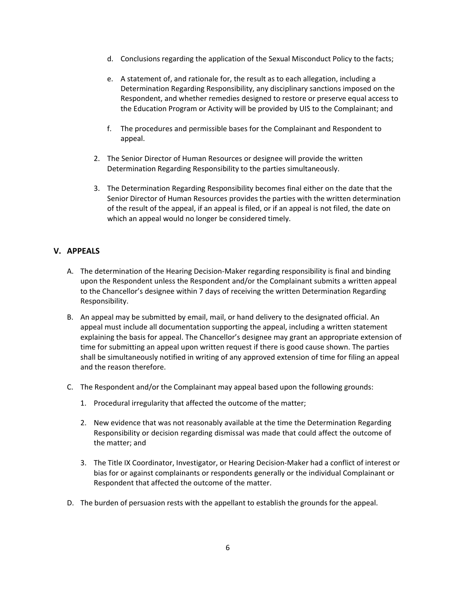- d. Conclusions regarding the application of the Sexual Misconduct Policy to the facts;
- e. A statement of, and rationale for, the result as to each allegation, including a Determination Regarding Responsibility, any disciplinary sanctions imposed on the Respondent, and whether remedies designed to restore or preserve equal access to the Education Program or Activity will be provided by UIS to the Complainant; and
- f. The procedures and permissible bases for the Complainant and Respondent to appeal.
- 2. The Senior Director of Human Resources or designee will provide the written Determination Regarding Responsibility to the parties simultaneously.
- 3. The Determination Regarding Responsibility becomes final either on the date that the Senior Director of Human Resources provides the parties with the written determination of the result of the appeal, if an appeal is filed, or if an appeal is not filed, the date on which an appeal would no longer be considered timely.

# **V. APPEALS**

- A. The determination of the Hearing Decision-Maker regarding responsibility is final and binding upon the Respondent unless the Respondent and/or the Complainant submits a written appeal to the Chancellor's designee within 7 days of receiving the written Determination Regarding Responsibility.
- B. An appeal may be submitted by email, mail, or hand delivery to the designated official. An appeal must include all documentation supporting the appeal, including a written statement explaining the basis for appeal. The Chancellor's designee may grant an appropriate extension of time for submitting an appeal upon written request if there is good cause shown. The parties shall be simultaneously notified in writing of any approved extension of time for filing an appeal and the reason therefore.
- C. The Respondent and/or the Complainant may appeal based upon the following grounds:
	- 1. Procedural irregularity that affected the outcome of the matter;
	- 2. New evidence that was not reasonably available at the time the Determination Regarding Responsibility or decision regarding dismissal was made that could affect the outcome of the matter; and
	- 3. The Title IX Coordinator, Investigator, or Hearing Decision-Maker had a conflict of interest or bias for or against complainants or respondents generally or the individual Complainant or Respondent that affected the outcome of the matter.
- D. The burden of persuasion rests with the appellant to establish the grounds for the appeal.